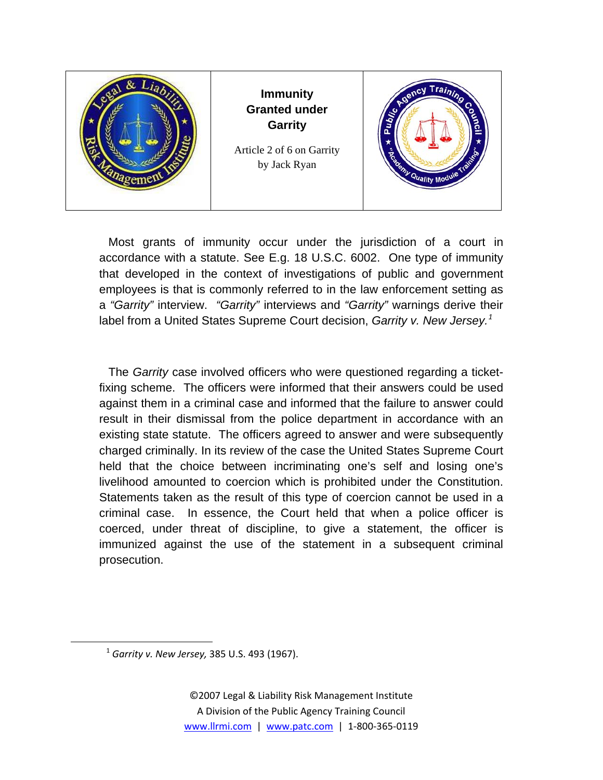

Most grants of immunity occur under the jurisdiction of a court in accordance with a statute. See E.g. 18 U.S.C. 6002. One type of immunity that developed in the context of investigations of public and government employees is that is commonly referred to in the law enforcement setting as a *"Garrity"* interview. *"Garrity"* interviews and *"Garrity"* warnings derive their label from a United States Supreme Court decision, Garrity v. New Jersey.<sup>[1](#page-0-0)</sup>

The *Garrity* case involved officers who were questioned regarding a ticketfixing scheme. The officers were informed that their answers could be used against them in a criminal case and informed that the failure to answer could result in their dismissal from the police department in accordance with an existing state statute. The officers agreed to answer and were subsequently charged criminally. In its review of the case the United States Supreme Court held that the choice between incriminating one's self and losing one's livelihood amounted to coercion which is prohibited under the Constitution. Statements taken as the result of this type of coercion cannot be used in a criminal case. In essence, the Court held that when a police officer is coerced, under threat of discipline, to give a statement, the officer is immunized against the use of the statement in a subsequent criminal prosecution.

<span id="page-0-0"></span>

<sup>1</sup> *Garrity v. New Jersey,* 385 U.S. 493 (1967).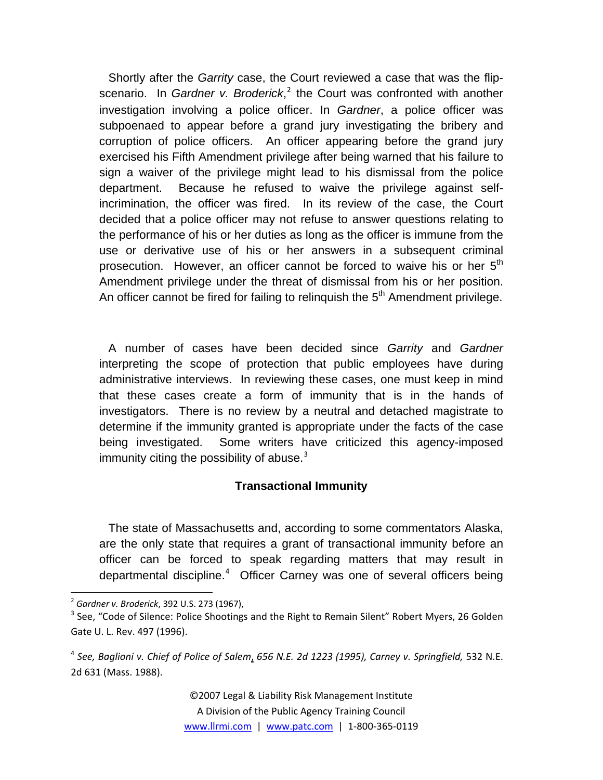Shortly after the *Garrity* case, the Court reviewed a case that was the flipscenario. In *Gardner v. Broderick*,<sup>[2](#page-1-0)</sup> the Court was confronted with another investigation involving a police officer. In *Gardner*, a police officer was subpoenaed to appear before a grand jury investigating the bribery and corruption of police officers. An officer appearing before the grand jury exercised his Fifth Amendment privilege after being warned that his failure to sign a waiver of the privilege might lead to his dismissal from the police department. Because he refused to waive the privilege against selfincrimination, the officer was fired. In its review of the case, the Court decided that a police officer may not refuse to answer questions relating to the performance of his or her duties as long as the officer is immune from the use or derivative use of his or her answers in a subsequent criminal prosecution. However, an officer cannot be forced to waive his or her  $5<sup>th</sup>$ Amendment privilege under the threat of dismissal from his or her position. An officer cannot be fired for failing to relinquish the  $5<sup>th</sup>$  Amendment privilege.

A number of cases have been decided since *Garrity* and *Gardner*  interpreting the scope of protection that public employees have during administrative interviews. In reviewing these cases, one must keep in mind that these cases create a form of immunity that is in the hands of investigators. There is no review by a neutral and detached magistrate to determine if the immunity granted is appropriate under the facts of the case being investigated. Some writers have criticized this agency-imposed immunity citing the possibility of abuse. $3$ 

## **Transactional Immunity**

The state of Massachusetts and, according to some commentators Alaska, are the only state that requires a grant of transactional immunity before an officer can be forced to speak regarding matters that may result in departmental discipline.<sup>[4](#page-1-2)</sup> Officer Carney was one of several officers being

<span id="page-1-0"></span><sup>2</sup> *Gardner v. Broderick*, 392 U.S. 273 (1967),

<span id="page-1-1"></span><sup>&</sup>lt;sup>3</sup> See, "Code of Silence: Police Shootings and the Right to Remain Silent" Robert Myers, 26 Golden Gate U. L. Rev. 497 (1996).

<span id="page-1-2"></span><sup>4</sup> *See, Baglioni v. Chief of Police of Salem*, *656 N.E. 2d 1223 (1995), Carney v. Springfield,* 532 N.E. 2d 631 (Mass. 1988).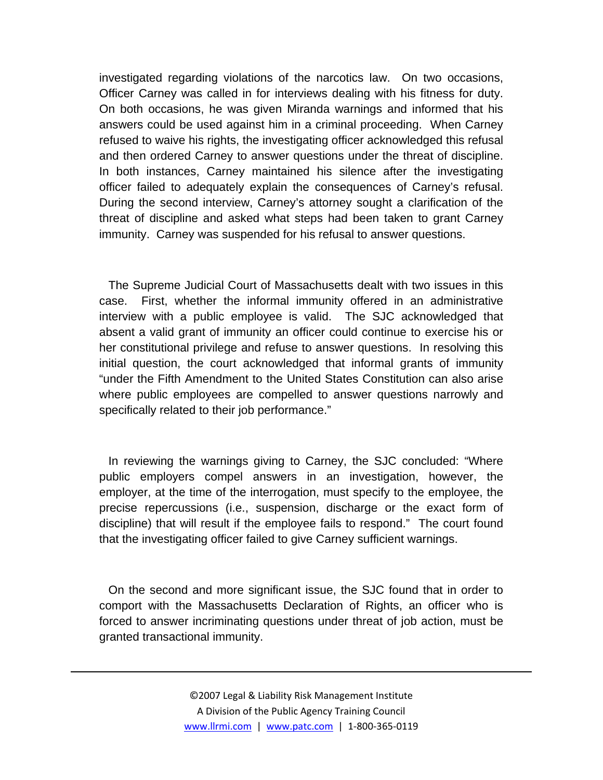investigated regarding violations of the narcotics law. On two occasions, Officer Carney was called in for interviews dealing with his fitness for duty. On both occasions, he was given Miranda warnings and informed that his answers could be used against him in a criminal proceeding. When Carney refused to waive his rights, the investigating officer acknowledged this refusal and then ordered Carney to answer questions under the threat of discipline. In both instances, Carney maintained his silence after the investigating officer failed to adequately explain the consequences of Carney's refusal. During the second interview, Carney's attorney sought a clarification of the threat of discipline and asked what steps had been taken to grant Carney immunity. Carney was suspended for his refusal to answer questions.

The Supreme Judicial Court of Massachusetts dealt with two issues in this case. First, whether the informal immunity offered in an administrative interview with a public employee is valid. The SJC acknowledged that absent a valid grant of immunity an officer could continue to exercise his or her constitutional privilege and refuse to answer questions. In resolving this initial question, the court acknowledged that informal grants of immunity "under the Fifth Amendment to the United States Constitution can also arise where public employees are compelled to answer questions narrowly and specifically related to their job performance."

In reviewing the warnings giving to Carney, the SJC concluded: "Where public employers compel answers in an investigation, however, the employer, at the time of the interrogation, must specify to the employee, the precise repercussions (i.e., suspension, discharge or the exact form of discipline) that will result if the employee fails to respond." The court found that the investigating officer failed to give Carney sufficient warnings.

On the second and more significant issue, the SJC found that in order to comport with the Massachusetts Declaration of Rights, an officer who is forced to answer incriminating questions under threat of job action, must be granted transactional immunity.

<u> 1989 - Johann Stein, marwolaethau a gweledydd a ganlad y ganlad y ganlad y ganlad y ganlad y ganlad y ganlad</u>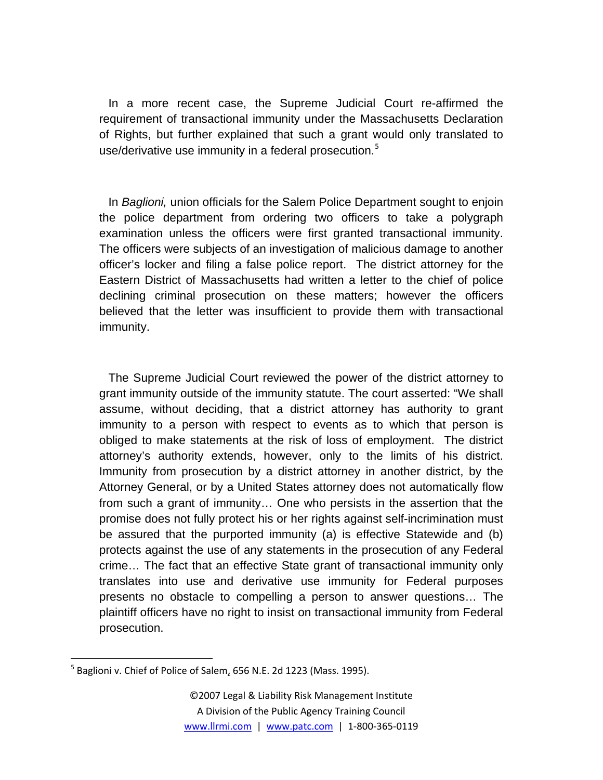In a more recent case, the Supreme Judicial Court re-affirmed the requirement of transactional immunity under the Massachusetts Declaration of Rights, but further explained that such a grant would only translated to use/derivative use immunity in a federal prosecution.<sup>[5](#page-3-0)</sup>

In *Baglioni,* union officials for the Salem Police Department sought to enjoin the police department from ordering two officers to take a polygraph examination unless the officers were first granted transactional immunity. The officers were subjects of an investigation of malicious damage to another officer's locker and filing a false police report. The district attorney for the Eastern District of Massachusetts had written a letter to the chief of police declining criminal prosecution on these matters; however the officers believed that the letter was insufficient to provide them with transactional immunity.

The Supreme Judicial Court reviewed the power of the district attorney to grant immunity outside of the immunity statute. The court asserted: "We shall assume, without deciding, that a district attorney has authority to grant immunity to a person with respect to events as to which that person is obliged to make statements at the risk of loss of employment. The district attorney's authority extends, however, only to the limits of his district. Immunity from prosecution by a district attorney in another district, by the Attorney General, or by a United States attorney does not automatically flow from such a grant of immunity… One who persists in the assertion that the promise does not fully protect his or her rights against self-incrimination must be assured that the purported immunity (a) is effective Statewide and (b) protects against the use of any statements in the prosecution of any Federal crime… The fact that an effective State grant of transactional immunity only translates into use and derivative use immunity for Federal purposes presents no obstacle to compelling a person to answer questions… The plaintiff officers have no right to insist on transactional immunity from Federal prosecution.

<span id="page-3-0"></span> $^5$  Baglioni v. Chief of Police of Salem, 656 N.E. 2d 1223 (Mass. 1995).